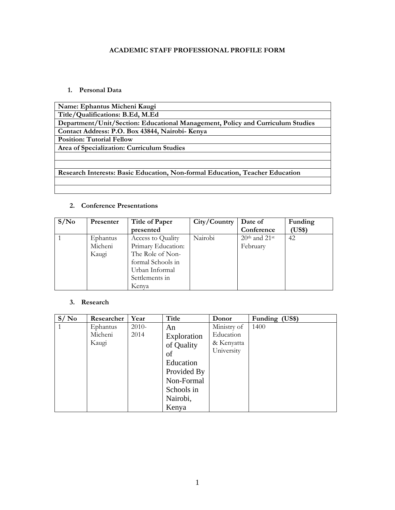### **ACADEMIC STAFF PROFESSIONAL PROFILE FORM**

#### **1. Personal Data**

| Name: Ephantus Micheni Kaugi                                                   |
|--------------------------------------------------------------------------------|
| Title/Qualifications: B.Ed, M.Ed                                               |
| Department/Unit/Section: Educational Management, Policy and Curriculum Studies |
| Contact Address: P.O. Box 43844, Nairobi- Kenya                                |
| <b>Position: Tutorial Fellow</b>                                               |
| Area of Specialization: Curriculum Studies                                     |
|                                                                                |
|                                                                                |
| Research Interests: Basic Education, Non-formal Education, Teacher Education   |
|                                                                                |
|                                                                                |

#### **2. Conference Presentations**

| S/N <sub>0</sub> | Presenter | <b>Title of Paper</b> | City/Country | Date of           | Funding      |
|------------------|-----------|-----------------------|--------------|-------------------|--------------|
|                  |           | presented             |              | Conference        | <b>US\$)</b> |
|                  | Ephantus  | Access to Quality     | Nairobi      | $20th$ and $21st$ | 42           |
|                  | Micheni   | Primary Education:    |              | February          |              |
|                  | Kaugi     | The Role of Non-      |              |                   |              |
|                  |           | formal Schools in     |              |                   |              |
|                  |           | Urban Informal        |              |                   |              |
|                  |           | Settlements in        |              |                   |              |
|                  |           | Kenya                 |              |                   |              |

#### **3. Research**

| S/N <sub>0</sub> | Researcher | Year    | <b>Title</b> | Donor       | Funding (US\$) |
|------------------|------------|---------|--------------|-------------|----------------|
|                  | Ephantus   | $2010-$ | An           | Ministry of | 1400           |
|                  | Micheni    | 2014    | Exploration  | Education   |                |
|                  | Kaugi      |         | of Quality   | & Kenyatta  |                |
|                  |            |         | of           | University  |                |
|                  |            |         | Education    |             |                |
|                  |            |         | Provided By  |             |                |
|                  |            |         | Non-Formal   |             |                |
|                  |            |         | Schools in   |             |                |
|                  |            |         | Nairobi,     |             |                |
|                  |            |         | Kenya        |             |                |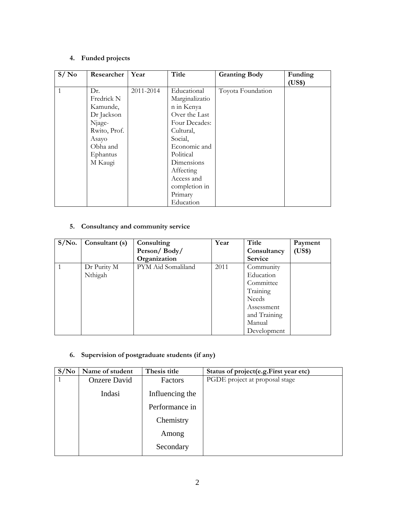# **4. Funded projects**

| S/No | Researcher   | Year      | Title          | <b>Granting Body</b> | Funding |
|------|--------------|-----------|----------------|----------------------|---------|
|      |              |           |                |                      | (US\$)  |
| 1    | Dr.          | 2011-2014 | Educational    | Toyota Foundation    |         |
|      | Fredrick N   |           | Marginalizatio |                      |         |
|      | Kamunde,     |           | n in Kenya     |                      |         |
|      | Dr Jackson   |           | Over the Last  |                      |         |
|      | Njage-       |           | Four Decades:  |                      |         |
|      | Rwito, Prof. |           | Cultural,      |                      |         |
|      | Asayo        |           | Social,        |                      |         |
|      | Obha and     |           | Economic and   |                      |         |
|      | Ephantus     |           | Political      |                      |         |
|      | M Kaugi      |           | Dimensions     |                      |         |
|      |              |           | Affecting      |                      |         |
|      |              |           | Access and     |                      |         |
|      |              |           | completion in  |                      |         |
|      |              |           | Primary        |                      |         |
|      |              |           | Education      |                      |         |

## **5. Consultancy and community service**

| $S/N0$ . | Consultant (s) | Consulting         | Year | Title          | Payment |
|----------|----------------|--------------------|------|----------------|---------|
|          |                | Person/Body/       |      | Consultancy    | (US\$)  |
|          |                | Organization       |      | <b>Service</b> |         |
|          | Dr Purity M    | PYM Aid Somaliland | 2011 | Community      |         |
|          | Nthigah        |                    |      | Education      |         |
|          |                |                    |      | Committee      |         |
|          |                |                    |      | Training       |         |
|          |                |                    |      | Needs          |         |
|          |                |                    |      | Assessment     |         |
|          |                |                    |      | and Training   |         |
|          |                |                    |      | Manual         |         |
|          |                |                    |      | Development    |         |

## **6. Supervision of postgraduate students (if any)**

| S/N <sub>0</sub> | Name of student     | Thesis title    | Status of project(e.g.First year etc) |
|------------------|---------------------|-----------------|---------------------------------------|
|                  | <b>Onzere David</b> | Factors         | PGDE project at proposal stage        |
|                  | Indasi              | Influencing the |                                       |
|                  |                     | Performance in  |                                       |
|                  |                     | Chemistry       |                                       |
|                  |                     | Among           |                                       |
|                  |                     | Secondary       |                                       |